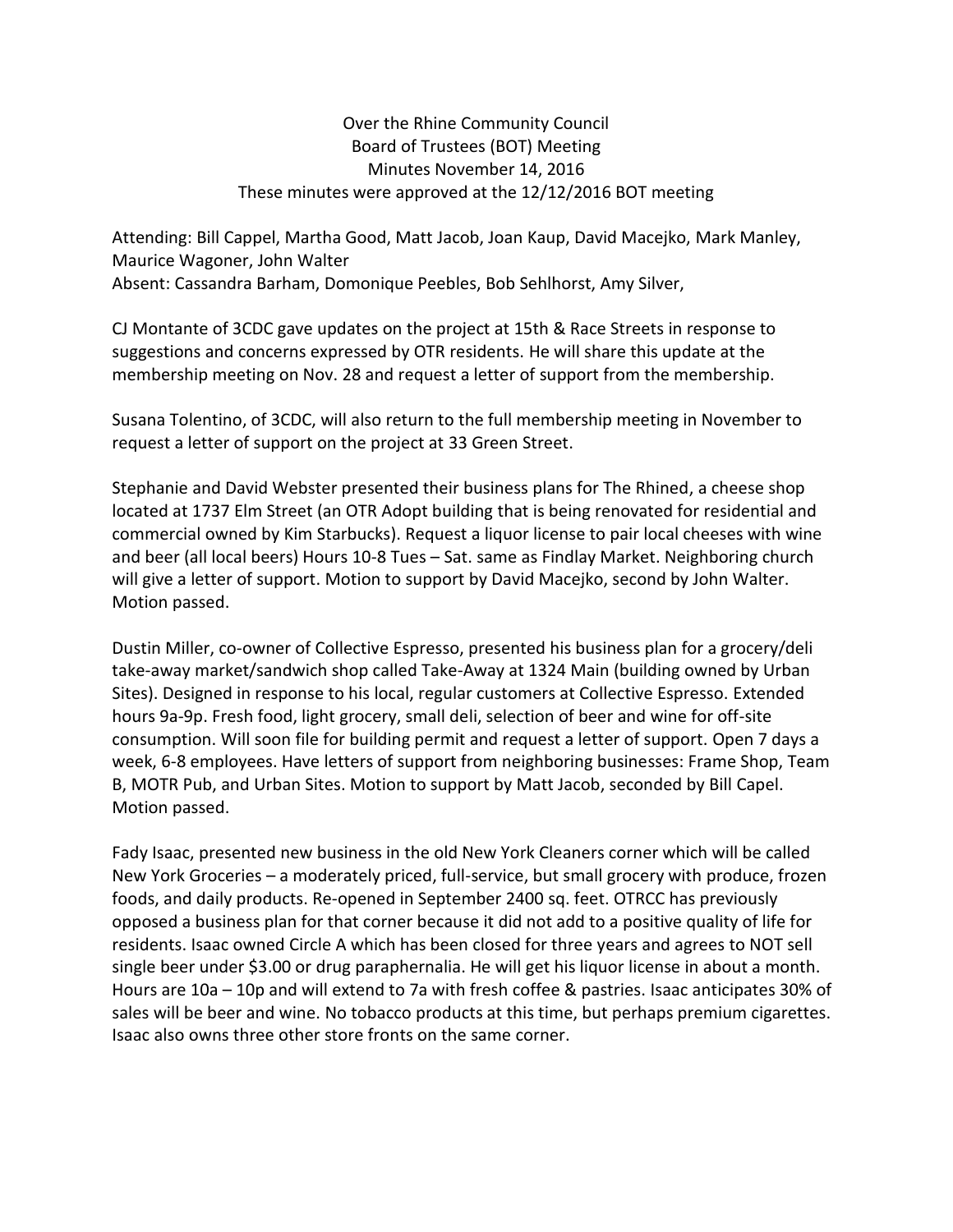## Over the Rhine Community Council Board of Trustees (BOT) Meeting Minutes November 14, 2016 These minutes were approved at the 12/12/2016 BOT meeting

Attending: Bill Cappel, Martha Good, Matt Jacob, Joan Kaup, David Macejko, Mark Manley, Maurice Wagoner, John Walter Absent: Cassandra Barham, Domonique Peebles, Bob Sehlhorst, Amy Silver,

CJ Montante of 3CDC gave updates on the project at 15th & Race Streets in response to suggestions and concerns expressed by OTR residents. He will share this update at the membership meeting on Nov. 28 and request a letter of support from the membership.

Susana Tolentino, of 3CDC, will also return to the full membership meeting in November to request a letter of support on the project at 33 Green Street.

Stephanie and David Webster presented their business plans for The Rhined, a cheese shop located at 1737 Elm Street (an OTR Adopt building that is being renovated for residential and commercial owned by Kim Starbucks). Request a liquor license to pair local cheeses with wine and beer (all local beers) Hours 10-8 Tues – Sat. same as Findlay Market. Neighboring church will give a letter of support. Motion to support by David Macejko, second by John Walter. Motion passed.

Dustin Miller, co-owner of Collective Espresso, presented his business plan for a grocery/deli take-away market/sandwich shop called Take-Away at 1324 Main (building owned by Urban Sites). Designed in response to his local, regular customers at Collective Espresso. Extended hours 9a-9p. Fresh food, light grocery, small deli, selection of beer and wine for off-site consumption. Will soon file for building permit and request a letter of support. Open 7 days a week, 6-8 employees. Have letters of support from neighboring businesses: Frame Shop, Team B, MOTR Pub, and Urban Sites. Motion to support by Matt Jacob, seconded by Bill Capel. Motion passed.

Fady Isaac, presented new business in the old New York Cleaners corner which will be called New York Groceries – a moderately priced, full-service, but small grocery with produce, frozen foods, and daily products. Re-opened in September 2400 sq. feet. OTRCC has previously opposed a business plan for that corner because it did not add to a positive quality of life for residents. Isaac owned Circle A which has been closed for three years and agrees to NOT sell single beer under \$3.00 or drug paraphernalia. He will get his liquor license in about a month. Hours are 10a – 10p and will extend to 7a with fresh coffee & pastries. Isaac anticipates 30% of sales will be beer and wine. No tobacco products at this time, but perhaps premium cigarettes. Isaac also owns three other store fronts on the same corner.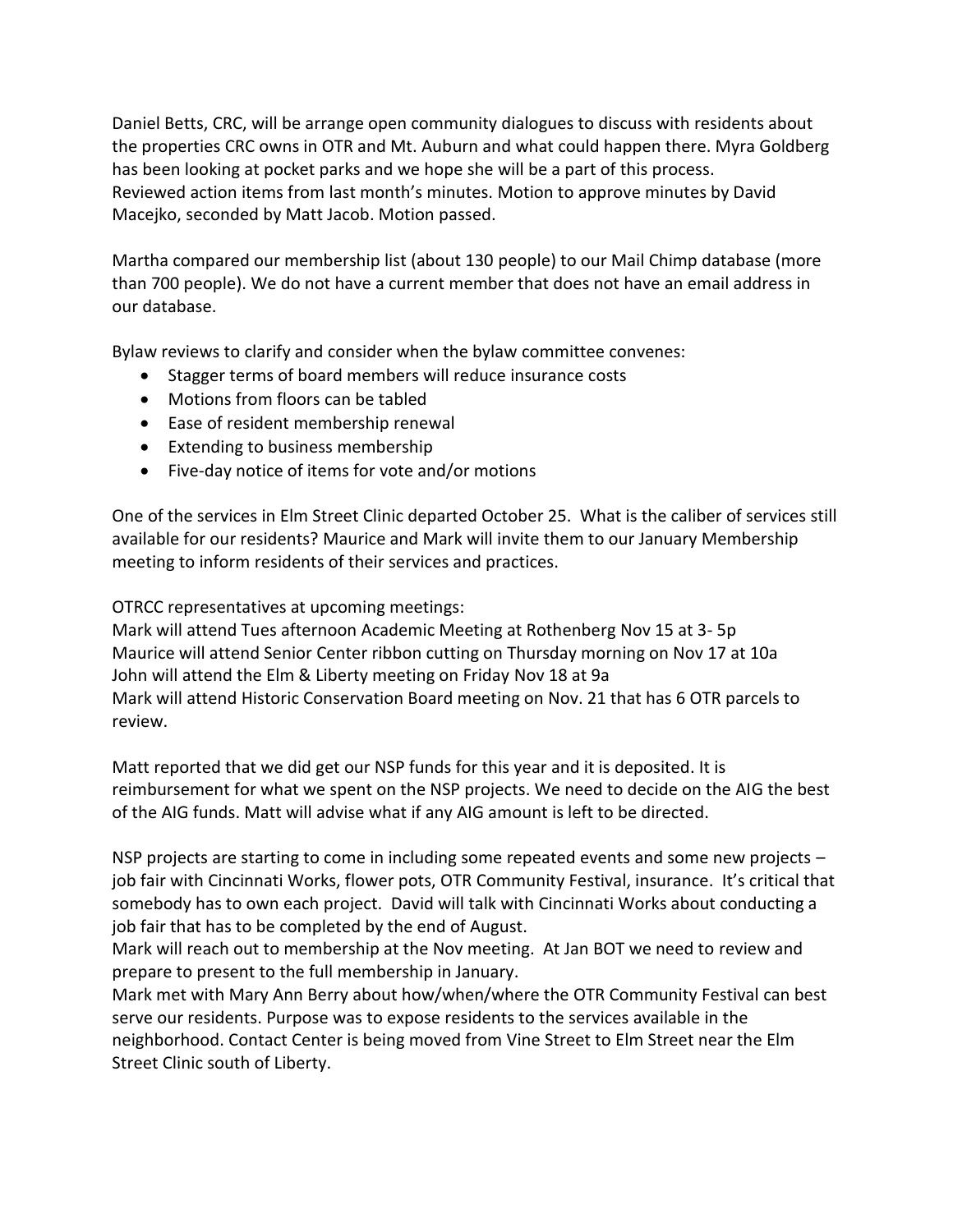Daniel Betts, CRC, will be arrange open community dialogues to discuss with residents about the properties CRC owns in OTR and Mt. Auburn and what could happen there. Myra Goldberg has been looking at pocket parks and we hope she will be a part of this process. Reviewed action items from last month's minutes. Motion to approve minutes by David Macejko, seconded by Matt Jacob. Motion passed.

Martha compared our membership list (about 130 people) to our Mail Chimp database (more than 700 people). We do not have a current member that does not have an email address in our database.

Bylaw reviews to clarify and consider when the bylaw committee convenes:

- Stagger terms of board members will reduce insurance costs
- Motions from floors can be tabled
- Ease of resident membership renewal
- Extending to business membership
- Five-day notice of items for vote and/or motions

One of the services in Elm Street Clinic departed October 25. What is the caliber of services still available for our residents? Maurice and Mark will invite them to our January Membership meeting to inform residents of their services and practices.

OTRCC representatives at upcoming meetings:

Mark will attend Tues afternoon Academic Meeting at Rothenberg Nov 15 at 3- 5p Maurice will attend Senior Center ribbon cutting on Thursday morning on Nov 17 at 10a John will attend the Elm & Liberty meeting on Friday Nov 18 at 9a Mark will attend Historic Conservation Board meeting on Nov. 21 that has 6 OTR parcels to review.

Matt reported that we did get our NSP funds for this year and it is deposited. It is reimbursement for what we spent on the NSP projects. We need to decide on the AIG the best of the AIG funds. Matt will advise what if any AIG amount is left to be directed.

NSP projects are starting to come in including some repeated events and some new projects – job fair with Cincinnati Works, flower pots, OTR Community Festival, insurance. It's critical that somebody has to own each project. David will talk with Cincinnati Works about conducting a job fair that has to be completed by the end of August.

Mark will reach out to membership at the Nov meeting. At Jan BOT we need to review and prepare to present to the full membership in January.

Mark met with Mary Ann Berry about how/when/where the OTR Community Festival can best serve our residents. Purpose was to expose residents to the services available in the neighborhood. Contact Center is being moved from Vine Street to Elm Street near the Elm Street Clinic south of Liberty.